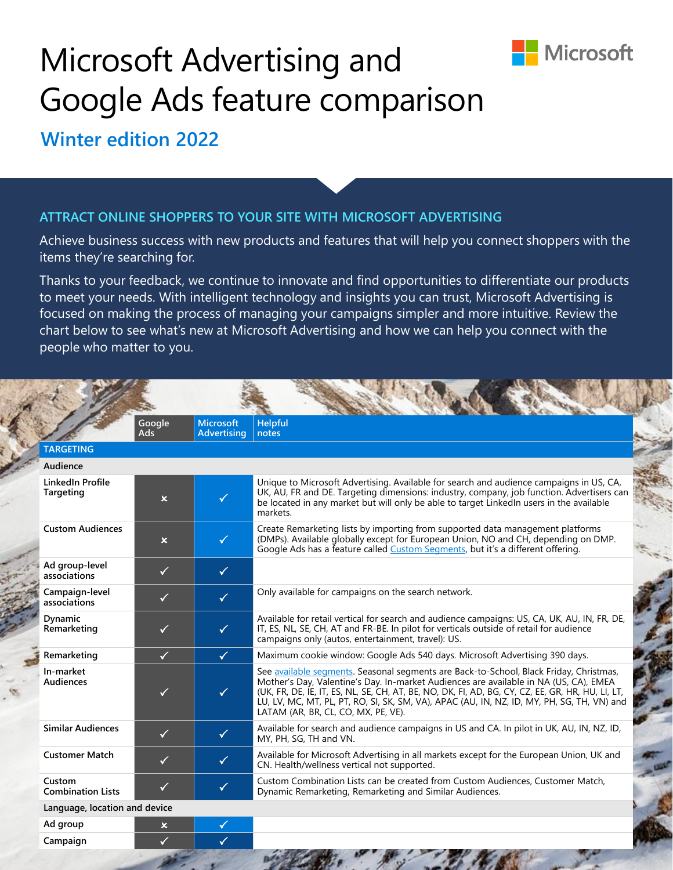

## Microsoft Advertising and Google Ads feature comparison

**Winter edition 2022**

## **ATTRACT ONLINE SHOPPERS TO YOUR SITE WITH MICROSOFT ADVERTISING**

Achieve business success with new products and features that will help you connect shoppers with the items they're searching for.

Thanks to your feedback, we continue to innovate and find opportunities to differentiate our products to meet your needs. With intelligent technology and insights you can trust, Microsoft Advertising is focused on making the process of managing your campaigns simpler and more intuitive. Review the chart below to see what's new at Microsoft Advertising and how we can help you connect with the people who matter to you.

|                                    | Google<br><b>Ads</b>      | <b>Microsoft</b><br><b>Advertising</b> | <b>Helpful</b><br>notes                                                                                                                                                                                                                                                                                                                                                                                                  |
|------------------------------------|---------------------------|----------------------------------------|--------------------------------------------------------------------------------------------------------------------------------------------------------------------------------------------------------------------------------------------------------------------------------------------------------------------------------------------------------------------------------------------------------------------------|
| <b>TARGETING</b>                   |                           |                                        |                                                                                                                                                                                                                                                                                                                                                                                                                          |
| Audience                           |                           |                                        |                                                                                                                                                                                                                                                                                                                                                                                                                          |
| LinkedIn Profile<br>Targeting      | $\mathsf{x}$              | $\checkmark$                           | Unique to Microsoft Advertising. Available for search and audience campaigns in US, CA,<br>UK, AU, FR and DE. Targeting dimensions: industry, company, job function. Advertisers can<br>be located in any market but will only be able to target Linked nusers in the available<br>markets.                                                                                                                              |
| <b>Custom Audiences</b>            | $\mathsf{x}$              | $\checkmark$                           | Create Remarketing lists by importing from supported data management platforms<br>(DMPs). Available globally except for European Union, NO and CH, depending on DMP.<br>Google Ads has a feature called Custom Segments, but it's a different offering.                                                                                                                                                                  |
| Ad group-level<br>associations     | $\checkmark$              | $\checkmark$                           |                                                                                                                                                                                                                                                                                                                                                                                                                          |
| Campaign-level<br>associations     | $\checkmark$              | $\checkmark$                           | Only available for campaigns on the search network.                                                                                                                                                                                                                                                                                                                                                                      |
| Dynamic<br>Remarketing             | $\checkmark$              | $\checkmark$                           | Available for retail vertical for search and audience campaigns: US, CA, UK, AU, IN, FR, DE,<br>IT, ES, NL, SE, CH, AT and FR-BE. In pilot for verticals outside of retail for audience<br>campaigns only (autos, entertainment, travel): US.                                                                                                                                                                            |
| Remarketing                        | $\checkmark$              | $\checkmark$                           | Maximum cookie window: Google Ads 540 days. Microsoft Advertising 390 days.                                                                                                                                                                                                                                                                                                                                              |
| In-market<br><b>Audiences</b>      | $\checkmark$              | $\checkmark$                           | See available segments. Seasonal segments are Back-to-School, Black Friday, Christmas,<br>Mother's Day, Valentine's Day. In-market Audiences are available in NA (US, CA), EMEA<br>(UK, FR, DE, IE, IT, ES, NL, SE, CH, AT, BE, NO, DK, FI, AD, BG, CY, CZ, EE, GR, HR, HU, LI, LT,<br>LU, LV, MC, MT, PL, PT, RO, SI, SK, SM, VA), APAC (AU, IN, NZ, ID, MY, PH, SG, TH, VN) and<br>LATAM (AR, BR, CL, CO, MX, PE, VE). |
| <b>Similar Audiences</b>           | $\checkmark$              | $\checkmark$                           | Available for search and audience campaigns in US and CA. In pilot in UK, AU, IN, NZ, ID,<br>MY, PH, SG, TH and VN.                                                                                                                                                                                                                                                                                                      |
| <b>Customer Match</b>              | $\checkmark$              | $\checkmark$                           | Available for Microsoft Advertising in all markets except for the European Union, UK and<br>CN. Health/wellness vertical not supported.                                                                                                                                                                                                                                                                                  |
| Custom<br><b>Combination Lists</b> | $\checkmark$              | $\checkmark$                           | Custom Combination Lists can be created from Custom Audiences, Customer Match,<br>Dynamic Remarketing, Remarketing and Similar Audiences.                                                                                                                                                                                                                                                                                |
| Language, location and device      |                           |                                        |                                                                                                                                                                                                                                                                                                                                                                                                                          |
| Ad group                           | $\boldsymbol{\mathsf{x}}$ | $\checkmark$                           |                                                                                                                                                                                                                                                                                                                                                                                                                          |
| Campaign                           | $\checkmark$              | $\checkmark$                           |                                                                                                                                                                                                                                                                                                                                                                                                                          |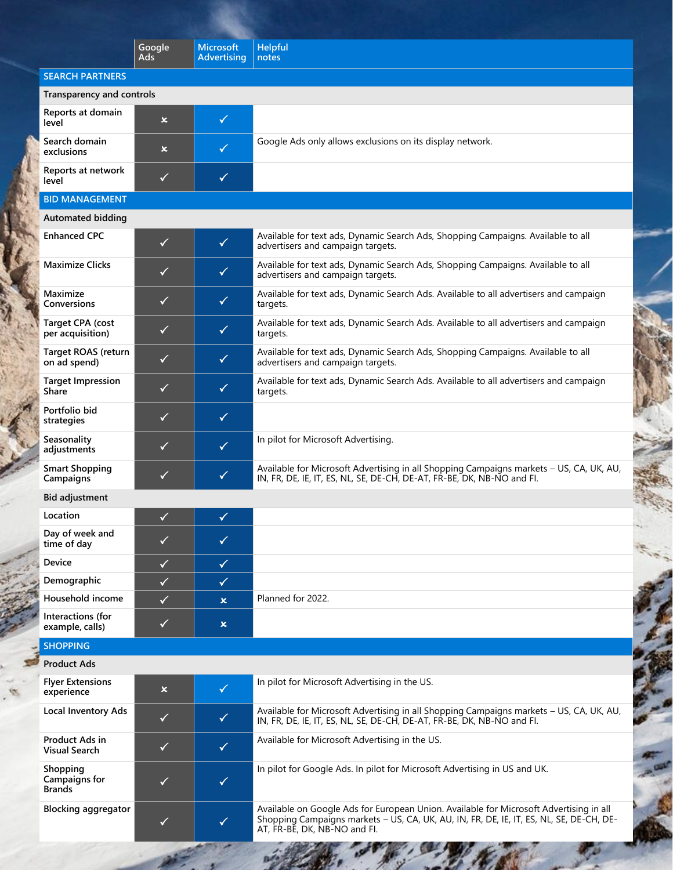|                                             | Google                    | <b>Microsoft</b>          | <b>Helpful</b>                                                                                                                                                                                                    |
|---------------------------------------------|---------------------------|---------------------------|-------------------------------------------------------------------------------------------------------------------------------------------------------------------------------------------------------------------|
|                                             | Ads                       | <b>Advertising</b>        | notes                                                                                                                                                                                                             |
| <b>SEARCH PARTNERS</b>                      |                           |                           |                                                                                                                                                                                                                   |
| Transparency and controls                   |                           |                           |                                                                                                                                                                                                                   |
| Reports at domain<br>level                  | $\boldsymbol{\mathsf{x}}$ | $\checkmark$              |                                                                                                                                                                                                                   |
| Search domain<br>exclusions                 | $\boldsymbol{\mathsf{x}}$ | $\checkmark$              | Google Ads only allows exclusions on its display network.                                                                                                                                                         |
| Reports at network<br>level                 | $\checkmark$              | $\checkmark$              |                                                                                                                                                                                                                   |
| <b>BID MANAGEMENT</b>                       |                           |                           |                                                                                                                                                                                                                   |
| <b>Automated bidding</b>                    |                           |                           |                                                                                                                                                                                                                   |
| <b>Enhanced CPC</b>                         | $\checkmark$              | $\checkmark$              | Available for text ads, Dynamic Search Ads, Shopping Campaigns. Available to all<br>advertisers and campaign targets.                                                                                             |
| <b>Maximize Clicks</b>                      | ✓                         | $\checkmark$              | Available for text ads, Dynamic Search Ads, Shopping Campaigns. Available to all<br>advertisers and campaign targets.                                                                                             |
| Maximize<br><b>Conversions</b>              | $\checkmark$              | $\checkmark$              | Available for text ads, Dynamic Search Ads. Available to all advertisers and campaign<br>targets.                                                                                                                 |
| <b>Target CPA (cost</b><br>per acquisition) | ✓                         | $\checkmark$              | Available for text ads, Dynamic Search Ads. Available to all advertisers and campaign<br>targets.                                                                                                                 |
| <b>Target ROAS (return</b><br>on ad spend)  | $\checkmark$              | $\checkmark$              | Available for text ads, Dynamic Search Ads, Shopping Campaigns. Available to all<br>advertisers and campaign targets.                                                                                             |
| <b>Target Impression</b><br><b>Share</b>    | ✓                         | $\checkmark$              | Available for text ads, Dynamic Search Ads. Available to all advertisers and campaign<br>targets.                                                                                                                 |
| Portfolio bid<br>strategies                 | ✓                         | $\checkmark$              |                                                                                                                                                                                                                   |
| Seasonality<br>adjustments                  | ✓                         | $\checkmark$              | In pilot for Microsoft Advertising.                                                                                                                                                                               |
| <b>Smart Shopping</b><br>Campaigns          | ✓                         | $\checkmark$              | Available for Microsoft Advertising in all Shopping Campaigns markets - US, CA, UK, AU,<br>IN, FR, DE, IE, IT, ES, NL, SE, DE-CH, DE-AT, FR-BE, DK, NB-NO and FI.                                                 |
| <b>Bid adjustment</b>                       |                           |                           |                                                                                                                                                                                                                   |
| Location                                    | ✓                         | $\checkmark$              |                                                                                                                                                                                                                   |
| Day of week and<br>time of day              | ✓                         | $\checkmark$              |                                                                                                                                                                                                                   |
| Device                                      | $\checkmark$              | $\checkmark$              |                                                                                                                                                                                                                   |
| Demographic                                 | $\checkmark$              | $\checkmark$              |                                                                                                                                                                                                                   |
| Household income                            | ✓                         | $\boldsymbol{\mathsf{x}}$ | Planned for 2022.                                                                                                                                                                                                 |
| Interactions (for<br>example, calls)        | $\checkmark$              | $\boldsymbol{\mathsf{x}}$ |                                                                                                                                                                                                                   |
| <b>SHOPPING</b>                             |                           |                           |                                                                                                                                                                                                                   |
| <b>Product Ads</b>                          |                           |                           |                                                                                                                                                                                                                   |
| <b>Flyer Extensions</b><br>experience       | $\boldsymbol{\mathsf{x}}$ | $\checkmark$              | In pilot for Microsoft Advertising in the US.                                                                                                                                                                     |
| <b>Local Inventory Ads</b>                  | $\checkmark$              | $\checkmark$              | Available for Microsoft Advertising in all Shopping Campaigns markets - US, CA, UK, AU,<br>IN, FR, DE, IE, IT, ES, NL, SE, DE-CH, DE-AT, FR-BE, DK, NB-NO and FI.                                                 |
| Product Ads in<br><b>Visual Search</b>      | $\checkmark$              | $\checkmark$              | Available for Microsoft Advertising in the US.                                                                                                                                                                    |
| Shopping<br>Campaigns for<br><b>Brands</b>  | $\checkmark$              | $\checkmark$              | In pilot for Google Ads. In pilot for Microsoft Advertising in US and UK.                                                                                                                                         |
| <b>Blocking aggregator</b>                  | ✓                         | $\checkmark$              | Available on Google Ads for European Union. Available for Microsoft Advertising in all<br>Shopping Campaigns markets - US, CA, UK, AU, IN, FR, DE, IE, IT, ES, NL, SE, DE-CH, DE-<br>AT, FR-BE, DK, NB-NO and FI. |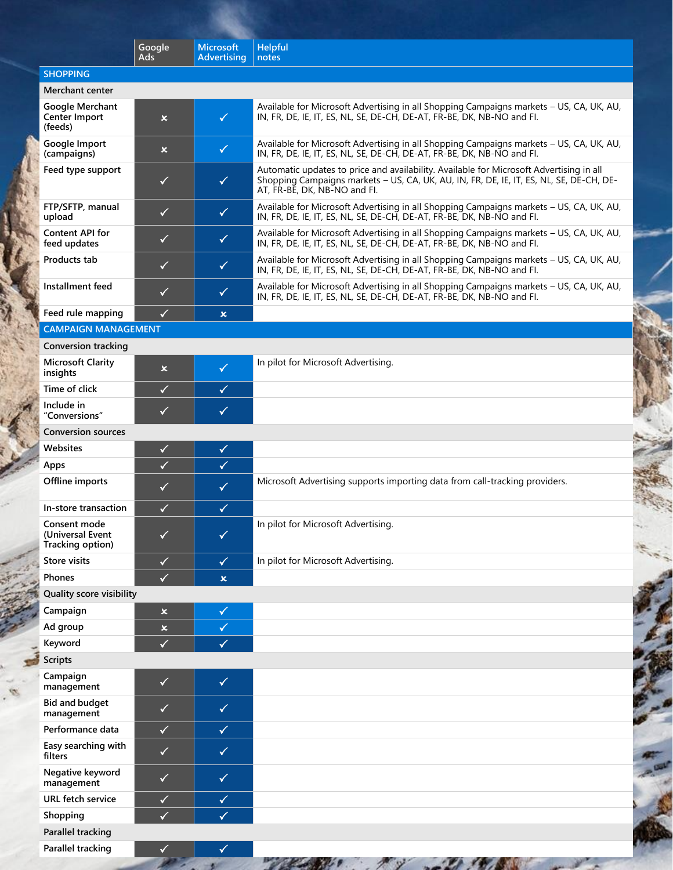|                                                      | Google<br>Ads             | <b>Microsoft</b><br><b>Advertising</b> | <b>Helpful</b><br>notes                                                                                                                                                                                            |
|------------------------------------------------------|---------------------------|----------------------------------------|--------------------------------------------------------------------------------------------------------------------------------------------------------------------------------------------------------------------|
| <b>SHOPPING</b>                                      |                           |                                        |                                                                                                                                                                                                                    |
| Merchant center                                      |                           |                                        |                                                                                                                                                                                                                    |
| Google Merchant<br>Center Import<br>(feeds)          | $\boldsymbol{\mathsf{x}}$ | $\checkmark$                           | Available for Microsoft Advertising in all Shopping Campaigns markets - US, CA, UK, AU,<br>IN, FR, DE, IE, IT, ES, NL, SE, DE-CH, DE-AT, FR-BE, DK, NB-NO and FI.                                                  |
| Google Import<br>(campaigns)                         | $\boldsymbol{\mathsf{x}}$ | $\checkmark$                           | Available for Microsoft Advertising in all Shopping Campaigns markets - US, CA, UK, AU,<br>IN, FR, DE, IE, IT, ES, NL, SE, DE-CH, DE-AT, FR-BE, DK, NB-NO and FI.                                                  |
| Feed type support                                    | $\checkmark$              | $\checkmark$                           | Automatic updates to price and availability. Available for Microsoft Advertising in all<br>Shopping Campaigns markets - US, CA, UK, AU, IN, FR, DE, IE, IT, ES, NL, SE, DE-CH, DE-<br>AT, FR-BE, DK, NB-NO and FI. |
| FTP/SFTP, manual<br>upload                           | $\checkmark$              | $\checkmark$                           | Available for Microsoft Advertising in all Shopping Campaigns markets - US, CA, UK, AU,<br>IN, FR, DE, IE, IT, ES, NL, SE, DE-CH, DE-AT, FR-BE, DK, NB-NO and FI.                                                  |
| <b>Content API for</b><br>feed updates               | $\checkmark$              | $\checkmark$                           | Available for Microsoft Advertising in all Shopping Campaigns markets - US, CA, UK, AU,<br>IN, FR, DE, IE, IT, ES, NL, SE, DE-CH, DE-AT, FR-BE, DK, NB-NO and FI.                                                  |
| Products tab                                         | $\checkmark$              | $\checkmark$                           | Available for Microsoft Advertising in all Shopping Campaigns markets - US, CA, UK, AU,<br>IN, FR, DE, IE, IT, ES, NL, SE, DE-CH, DE-AT, FR-BE, DK, NB-NO and FI.                                                  |
| Installment feed                                     | $\checkmark$              | $\checkmark$                           | Available for Microsoft Advertising in all Shopping Campaigns markets - US, CA, UK, AU,<br>IN, FR, DE, IE, IT, ES, NL, SE, DE-CH, DE-AT, FR-BE, DK, NB-NO and FI.                                                  |
| Feed rule mapping                                    | $\checkmark$              | $\boldsymbol{\mathsf{x}}$              |                                                                                                                                                                                                                    |
| <b>CAMPAIGN MANAGEMENT</b>                           |                           |                                        |                                                                                                                                                                                                                    |
| <b>Conversion tracking</b>                           |                           |                                        |                                                                                                                                                                                                                    |
| <b>Microsoft Clarity</b><br>insights                 | $\boldsymbol{\mathsf{x}}$ | $\checkmark$                           | In pilot for Microsoft Advertising.                                                                                                                                                                                |
| Time of click                                        | ✓                         | $\checkmark$                           |                                                                                                                                                                                                                    |
| Include in<br>"Conversions"                          | $\checkmark$              | $\checkmark$                           |                                                                                                                                                                                                                    |
| <b>Conversion sources</b>                            |                           |                                        |                                                                                                                                                                                                                    |
| Websites                                             | $\checkmark$              | $\checkmark$                           |                                                                                                                                                                                                                    |
| Apps                                                 | $\checkmark$              | $\checkmark$                           |                                                                                                                                                                                                                    |
| Offline imports                                      | ✓                         | $\checkmark$                           | Microsoft Advertising supports importing data from call-tracking providers.                                                                                                                                        |
| In-store transaction                                 | $\checkmark$              | $\checkmark$                           |                                                                                                                                                                                                                    |
| Consent mode<br>(Universal Event<br>Tracking option) | ✓                         | ✓                                      | In pilot for Microsoft Advertising.                                                                                                                                                                                |
| <b>Store visits</b>                                  | $\checkmark$              | $\checkmark$                           | In pilot for Microsoft Advertising.                                                                                                                                                                                |
| <b>Phones</b>                                        | $\checkmark$              | $\mathsf{x}$                           |                                                                                                                                                                                                                    |
| <b>Quality score visibility</b>                      |                           |                                        |                                                                                                                                                                                                                    |
| Campaign                                             | $\boldsymbol{\mathsf{x}}$ | $\checkmark$                           |                                                                                                                                                                                                                    |
| Ad group                                             | $\pmb{\times}$            | $\checkmark$                           |                                                                                                                                                                                                                    |
| Keyword                                              | ✓                         | $\checkmark$                           |                                                                                                                                                                                                                    |
| <b>Scripts</b>                                       |                           |                                        |                                                                                                                                                                                                                    |
| Campaign<br>management                               | $\checkmark$              | $\checkmark$                           |                                                                                                                                                                                                                    |
| <b>Bid and budget</b><br>management                  | $\checkmark$              | $\checkmark$                           |                                                                                                                                                                                                                    |
| Performance data                                     | $\checkmark$              | $\checkmark$                           |                                                                                                                                                                                                                    |
| Easy searching with<br>filters                       | $\checkmark$              | $\checkmark$                           |                                                                                                                                                                                                                    |
| Negative keyword<br>management                       | $\checkmark$              | $\checkmark$                           |                                                                                                                                                                                                                    |
| <b>URL</b> fetch service                             | $\checkmark$              | $\checkmark$                           |                                                                                                                                                                                                                    |
| Shopping                                             | ✓                         | $\checkmark$                           |                                                                                                                                                                                                                    |

**Parallel tracking Parallel tracking**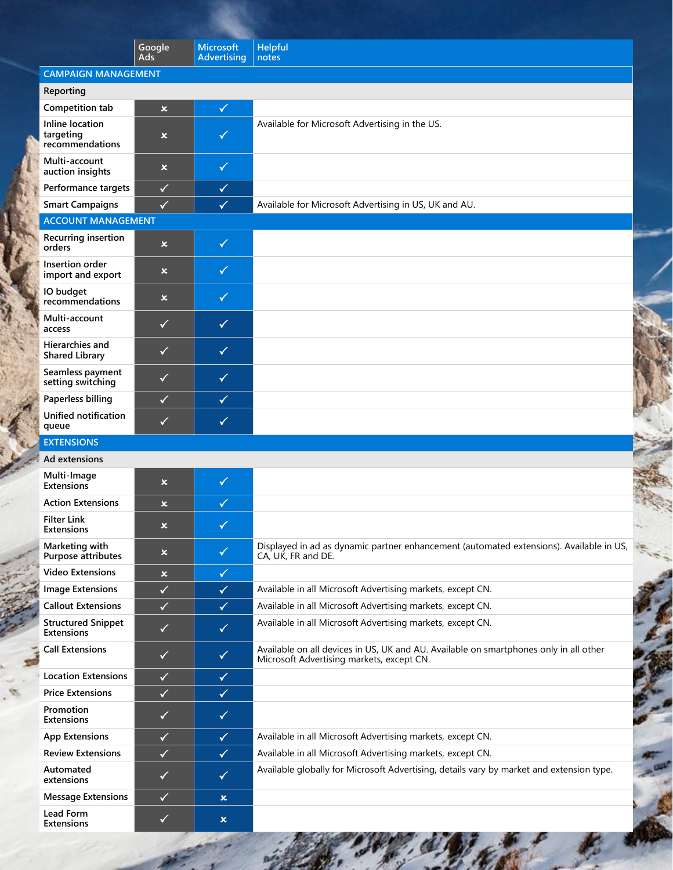|                                                 | Google                    | <b>Microsoft</b>          | <b>Helpful</b>                                                                                                                     |
|-------------------------------------------------|---------------------------|---------------------------|------------------------------------------------------------------------------------------------------------------------------------|
|                                                 | Ads                       | <b>Advertising</b>        | notes                                                                                                                              |
| <b>CAMPAIGN MANAGEMENT</b><br>Reporting         |                           |                           |                                                                                                                                    |
| Competition tab                                 | $\mathsf{x}$              | $\checkmark$              |                                                                                                                                    |
| Inline location<br>targeting<br>recommendations | ×.                        | $\checkmark$              | Available for Microsoft Advertising in the US.                                                                                     |
| Multi-account<br>auction insights               | $\boldsymbol{\mathsf{x}}$ | $\checkmark$              |                                                                                                                                    |
| Performance targets                             | $\checkmark$              | $\checkmark$              |                                                                                                                                    |
| <b>Smart Campaigns</b>                          | $\checkmark$              | $\checkmark$              | Available for Microsoft Advertising in US, UK and AU.                                                                              |
| <b>ACCOUNT MANAGEMENT</b>                       |                           |                           |                                                                                                                                    |
| <b>Recurring insertion</b><br>orders            | $\mathbf x$               | $\checkmark$              |                                                                                                                                    |
| Insertion order<br>import and export            | $\boldsymbol{\mathsf{x}}$ | $\checkmark$              |                                                                                                                                    |
| IO budget<br>recommendations                    | $\boldsymbol{\mathsf{x}}$ | $\checkmark$              |                                                                                                                                    |
| Multi-account<br>access                         | $\checkmark$              | $\checkmark$              |                                                                                                                                    |
| <b>Hierarchies and</b><br><b>Shared Library</b> | $\checkmark$              | $\checkmark$              |                                                                                                                                    |
| Seamless payment<br>setting switching           | $\checkmark$              | $\checkmark$              |                                                                                                                                    |
| Paperless billing                               | $\checkmark$              | $\checkmark$              |                                                                                                                                    |
| <b>Unified notification</b><br>queue            | $\checkmark$              | $\checkmark$              |                                                                                                                                    |
| <b>EXTENSIONS</b>                               |                           |                           |                                                                                                                                    |
| Ad extensions                                   |                           |                           |                                                                                                                                    |
| Multi-Image<br><b>Extensions</b>                | $\boldsymbol{\mathsf{x}}$ | $\checkmark$              |                                                                                                                                    |
| <b>Action Extensions</b>                        | $\mathsf{x}$              | $\checkmark$              |                                                                                                                                    |
| <b>Filter Link</b><br>Extensions                | ×                         | $\blacklozenge$           |                                                                                                                                    |
| Marketing with<br>Purpose attributes            | $\boldsymbol{\mathsf{x}}$ | $\checkmark$              | Displayed in ad as dynamic partner enhancement (automated extensions). Available in US,<br>CA, UK, FR and DE.                      |
| <b>Video Extensions</b>                         | $\boldsymbol{\mathsf{x}}$ | $\checkmark$              |                                                                                                                                    |
| <b>Image Extensions</b>                         | $\checkmark$              | $\checkmark$              | Available in all Microsoft Advertising markets, except CN.                                                                         |
| <b>Callout Extensions</b>                       | $\checkmark$              | $\checkmark$              | Available in all Microsoft Advertising markets, except CN.                                                                         |
| <b>Structured Snippet</b><br><b>Extensions</b>  | $\checkmark$              | $\checkmark$              | Available in all Microsoft Advertising markets, except CN.                                                                         |
| <b>Call Extensions</b>                          | $\checkmark$              | $\checkmark$              | Available on all devices in US, UK and AU. Available on smartphones only in all other<br>Microsoft Advertising markets, except CN. |
| <b>Location Extensions</b>                      | $\checkmark$              | $\checkmark$              |                                                                                                                                    |
| <b>Price Extensions</b>                         | $\checkmark$              | $\checkmark$              |                                                                                                                                    |
| Promotion<br><b>Extensions</b>                  | $\checkmark$              | $\checkmark$              |                                                                                                                                    |
| <b>App Extensions</b>                           | $\checkmark$              | $\checkmark$              | Available in all Microsoft Advertising markets, except CN.                                                                         |
| <b>Review Extensions</b>                        | $\checkmark$              | $\checkmark$              | Available in all Microsoft Advertising markets, except CN.                                                                         |
| Automated<br>extensions                         | $\checkmark$              | $\checkmark$              | Available globally for Microsoft Advertising, details vary by market and extension type.                                           |
| <b>Message Extensions</b>                       | $\checkmark$              | $\boldsymbol{\mathsf{x}}$ |                                                                                                                                    |
| Lead Form<br>Extensions                         | ✓                         | $\pmb{\times}$            |                                                                                                                                    |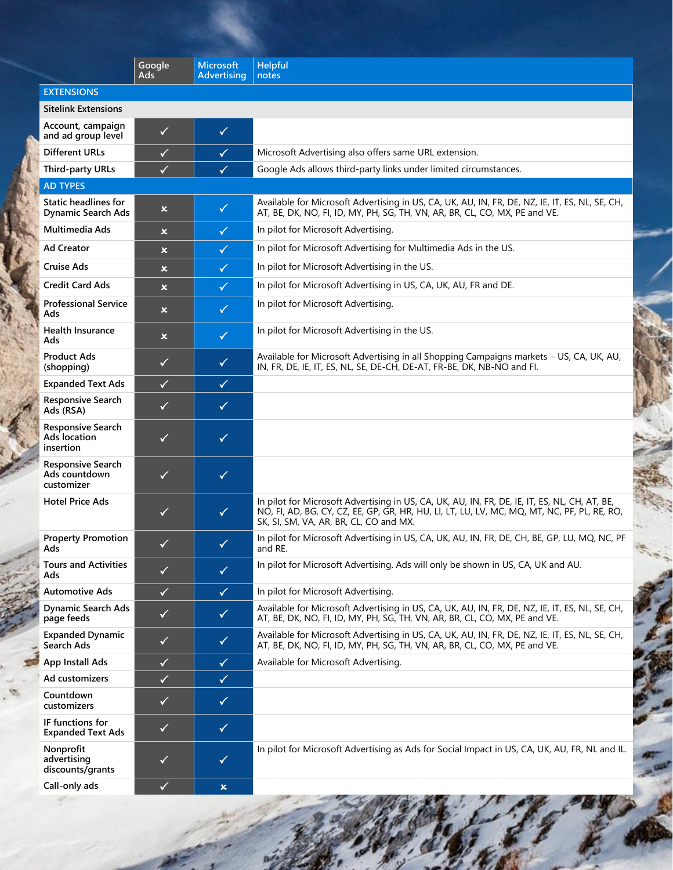|                                                          | Google<br>Ads             | <b>Microsoft</b><br><b>Advertising</b> | <b>Helpful</b><br>notes                                                                                                                                                                                                                |
|----------------------------------------------------------|---------------------------|----------------------------------------|----------------------------------------------------------------------------------------------------------------------------------------------------------------------------------------------------------------------------------------|
| <b>EXTENSIONS</b>                                        |                           |                                        |                                                                                                                                                                                                                                        |
| <b>Sitelink Extensions</b>                               |                           |                                        |                                                                                                                                                                                                                                        |
| Account, campaign<br>and ad group level                  | $\checkmark$              | $\checkmark$                           |                                                                                                                                                                                                                                        |
| <b>Different URLs</b>                                    | $\checkmark$              | $\checkmark$                           | Microsoft Advertising also offers same URL extension.                                                                                                                                                                                  |
| <b>Third-party URLs</b>                                  | ✓                         | $\checkmark$                           | Google Ads allows third-party links under limited circumstances.                                                                                                                                                                       |
| <b>AD TYPES</b>                                          |                           |                                        |                                                                                                                                                                                                                                        |
| <b>Static headlines for</b><br><b>Dynamic Search Ads</b> | $\boldsymbol{\mathsf{x}}$ | $\checkmark$                           | Available for Microsoft Advertising in US, CA, UK, AU, IN, FR, DE, NZ, IE, IT, ES, NL, SE, CH,<br>AT, BE, DK, NO, FI, ID, MY, PH, SG, TH, VN, AR, BR, CL, CO, MX, PE and VE.                                                           |
| <b>Multimedia Ads</b>                                    | $\boldsymbol{\mathsf{x}}$ | $\checkmark$                           | In pilot for Microsoft Advertising.                                                                                                                                                                                                    |
| <b>Ad Creator</b>                                        | $\boldsymbol{\mathsf{x}}$ | $\checkmark$                           | In pilot for Microsoft Advertising for Multimedia Ads in the US.                                                                                                                                                                       |
| Cruise Ads                                               | $\boldsymbol{\mathsf{x}}$ | $\checkmark$                           | In pilot for Microsoft Advertising in the US.                                                                                                                                                                                          |
| <b>Credit Card Ads</b>                                   | $\mathbf x$               | $\checkmark$                           | In pilot for Microsoft Advertising in US, CA, UK, AU, FR and DE.                                                                                                                                                                       |
| <b>Professional Service</b><br>Ads                       | $\boldsymbol{\mathsf{x}}$ | $\checkmark$                           | In pilot for Microsoft Advertising.                                                                                                                                                                                                    |
| <b>Health Insurance</b><br>Ads                           | $\boldsymbol{\mathsf{x}}$ | $\checkmark$                           | In pilot for Microsoft Advertising in the US.                                                                                                                                                                                          |
| <b>Product Ads</b><br>(shopping)                         | $\checkmark$              | $\checkmark$                           | Available for Microsoft Advertising in all Shopping Campaigns markets - US, CA, UK, AU,<br>IN, FR, DE, IE, IT, ES, NL, SE, DE-CH, DE-AT, FR-BE, DK, NB-NO and FI.                                                                      |
| <b>Expanded Text Ads</b>                                 | $\checkmark$              | $\checkmark$                           |                                                                                                                                                                                                                                        |
| <b>Responsive Search</b><br>Ads (RSA)                    | $\checkmark$              | $\checkmark$                           |                                                                                                                                                                                                                                        |
| <b>Responsive Search</b><br>Ads location<br>insertion    | $\checkmark$              | $\checkmark$                           |                                                                                                                                                                                                                                        |
| <b>Responsive Search</b><br>Ads countdown<br>customizer  | $\checkmark$              | $\checkmark$                           |                                                                                                                                                                                                                                        |
| <b>Hotel Price Ads</b>                                   | $\checkmark$              | $\checkmark$                           | In pilot for Microsoft Advertising in US, CA, UK, AU, IN, FR, DE, IE, IT, ES, NL, CH, AT, BE,<br>NO, FI, AD, BG, CY, CZ, EE, GP, GR, HR, HU, LI, LT, LU, LV, MC, MQ, MT, NC, PF, PL, RE, RO,<br>SK, SI, SM, VA, AR, BR, CL, CO and MX. |
| <b>Property Promotion</b><br>Ads                         | $\checkmark$              | $\checkmark$                           | In pilot for Microsoft Advertising in US, CA, UK, AU, IN, FR, DE, CH, BE, GP, LU, MQ, NC, PF<br>and RE.                                                                                                                                |
| <b>Tours and Activities</b><br>Ads                       | $\checkmark$              | $\checkmark$                           | In pilot for Microsoft Advertising. Ads will only be shown in US, CA, UK and AU.                                                                                                                                                       |
| <b>Automotive Ads</b>                                    | $\checkmark$              | $\checkmark$                           | In pilot for Microsoft Advertising.                                                                                                                                                                                                    |
| <b>Dynamic Search Ads</b><br>page feeds                  | $\checkmark$              | $\checkmark$                           | Available for Microsoft Advertising in US, CA, UK, AU, IN, FR, DE, NZ, IE, IT, ES, NL, SE, CH,<br>AT, BE, DK, NO, FI, ID, MY, PH, SG, TH, VN, AR, BR, CL, CO, MX, PE and VE.                                                           |
| <b>Expanded Dynamic</b><br>Search Ads                    | $\checkmark$              | $\checkmark$                           | Available for Microsoft Advertising in US, CA, UK, AU, IN, FR, DE, NZ, IE, IT, ES, NL, SE, CH,<br>AT, BE, DK, NO, FI, ID, MY, PH, SG, TH, VN, AR, BR, CL, CO, MX, PE and VE.                                                           |
| <b>App Install Ads</b>                                   | $\checkmark$              | $\checkmark$                           | Available for Microsoft Advertising.                                                                                                                                                                                                   |
| Ad customizers                                           | $\checkmark$              | $\checkmark$                           |                                                                                                                                                                                                                                        |
| Countdown<br>customizers                                 | $\checkmark$              | $\checkmark$                           |                                                                                                                                                                                                                                        |
| IF functions for<br><b>Expanded Text Ads</b>             | $\checkmark$              | $\checkmark$                           |                                                                                                                                                                                                                                        |
| Nonprofit<br>advertising<br>discounts/grants             | $\checkmark$              | $\checkmark$                           | In pilot for Microsoft Advertising as Ads for Social Impact in US, CA, UK, AU, FR, NL and IL.                                                                                                                                          |
| Call-only ads                                            | $\checkmark$              | $\pmb{\times}$                         |                                                                                                                                                                                                                                        |